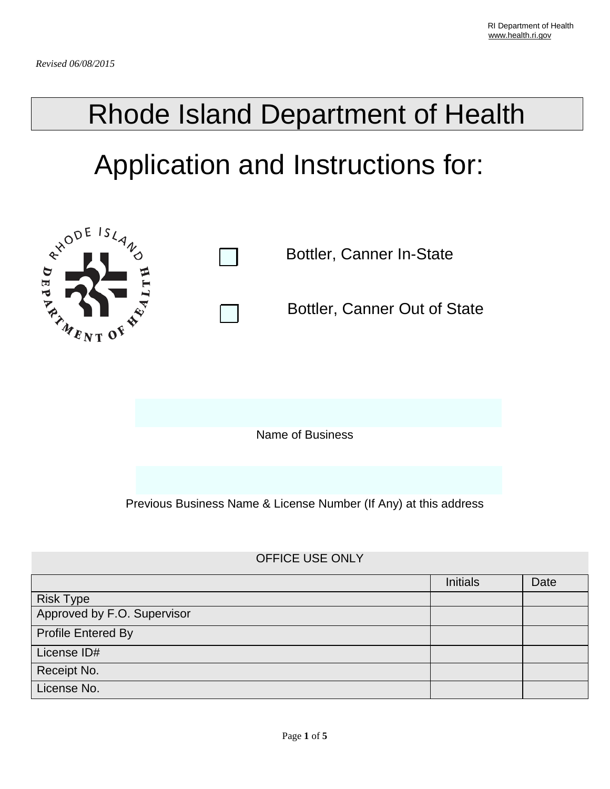## Rhode Island Department of Health

# Application and Instructions for:



### OFFICE USE ONLY

|                             | <b>Initials</b> | Date |
|-----------------------------|-----------------|------|
| <b>Risk Type</b>            |                 |      |
| Approved by F.O. Supervisor |                 |      |
| <b>Profile Entered By</b>   |                 |      |
| License ID#                 |                 |      |
| Receipt No.                 |                 |      |
| License No.                 |                 |      |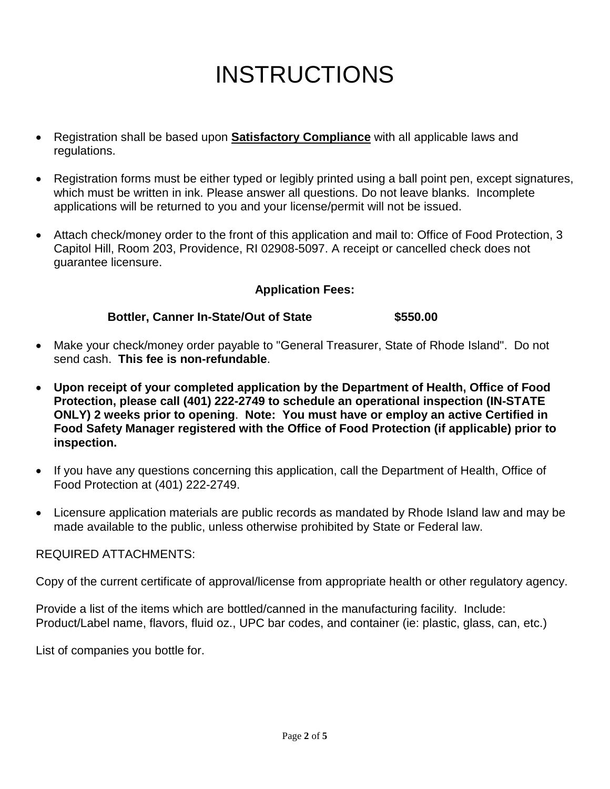### INSTRUCTIONS

- Registration shall be based upon **Satisfactory Compliance** with all applicable laws and regulations.
- Registration forms must be either typed or legibly printed using a ball point pen, except signatures, which must be written in ink. Please answer all questions. Do not leave blanks. Incomplete applications will be returned to you and your license/permit will not be issued.
- Attach check/money order to the front of this application and mail to: Office of Food Protection, 3 Capitol Hill, Room 203, Providence, RI 02908-5097. A receipt or cancelled check does not guarantee licensure.

#### **Application Fees:**

#### **Bottler, Canner In-State/Out of State \$550.00**

- Make your check/money order payable to "General Treasurer, State of Rhode Island". Do not send cash. **This fee is non-refundable**.
- **Upon receipt of your completed application by the Department of Health, Office of Food Protection, please call (401) 222-2749 to schedule an operational inspection (IN-STATE ONLY) 2 weeks prior to opening**. **Note: You must have or employ an active Certified in Food Safety Manager registered with the Office of Food Protection (if applicable) prior to inspection.**
- If you have any questions concerning this application, call the Department of Health, Office of Food Protection at (401) 222-2749.
- Licensure application materials are public records as mandated by Rhode Island law and may be made available to the public, unless otherwise prohibited by State or Federal law.

#### REQUIRED ATTACHMENTS:

Copy of the current certificate of approval/license from appropriate health or other regulatory agency.

Provide a list of the items which are bottled/canned in the manufacturing facility. Include: Product/Label name, flavors, fluid oz., UPC bar codes, and container (ie: plastic, glass, can, etc.)

List of companies you bottle for.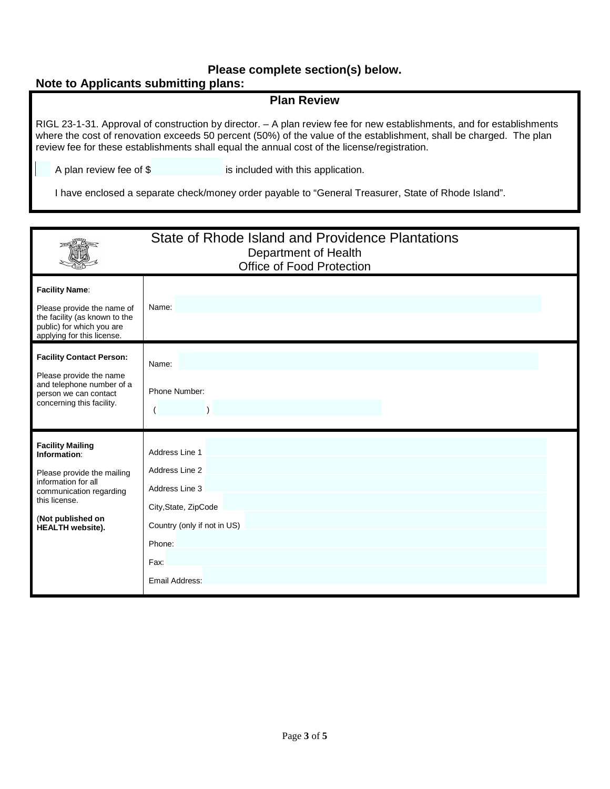#### **Please complete section(s) below.**

#### **Note to Applicants submitting plans:**

#### **Plan Review**

RIGL 23-1-31. Approval of construction by director. – A plan review fee for new establishments, and for establishments where the cost of renovation exceeds 50 percent (50%) of the value of the establishment, shall be charged. The plan review fee for these establishments shall equal the annual cost of the license/registration.

A plan review fee of \$ is included with this application.

I have enclosed a separate check/money order payable to "General Treasurer, State of Rhode Island".

|                                                                                                                                                                                          | State of Rhode Island and Providence Plantations<br>Department of Health<br>Office of Food Protection                                         |  |  |
|------------------------------------------------------------------------------------------------------------------------------------------------------------------------------------------|-----------------------------------------------------------------------------------------------------------------------------------------------|--|--|
| <b>Facility Name:</b><br>Please provide the name of<br>the facility (as known to the<br>public) for which you are<br>applying for this license.                                          | Name:                                                                                                                                         |  |  |
| <b>Facility Contact Person:</b><br>Please provide the name<br>and telephone number of a<br>person we can contact<br>concerning this facility.                                            | Name:<br>Phone Number:                                                                                                                        |  |  |
| <b>Facility Mailing</b><br>Information:<br>Please provide the mailing<br>information for all<br>communication regarding<br>this license.<br>(Not published on<br><b>HEALTH</b> website). | Address Line 1<br>Address Line 2<br>Address Line 3<br>City, State, ZipCode<br>Country (only if not in US)<br>Phone:<br>Fax:<br>Email Address: |  |  |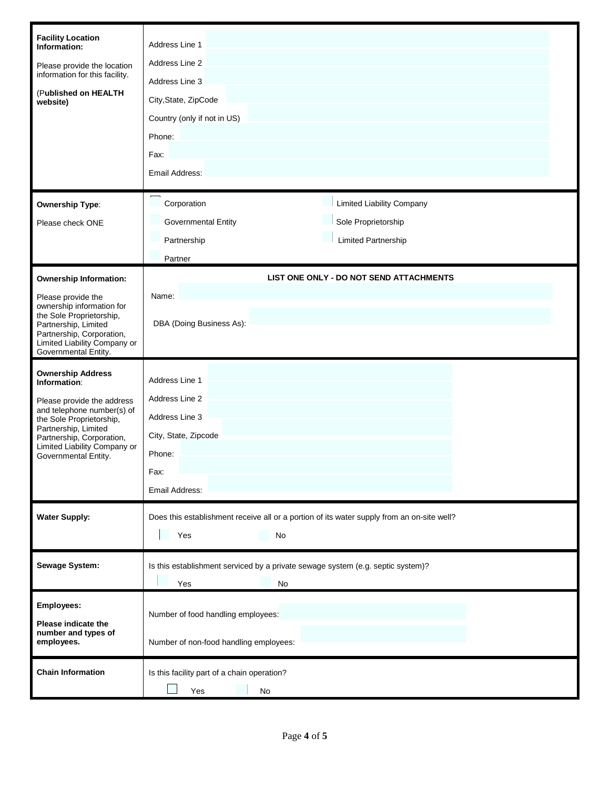| <b>Facility Location</b><br>Information:<br>Please provide the location<br>information for this facility.<br>(Published on HEALTH<br>website)                                                                                                 | Address Line 1<br>Address Line 2<br>Address Line 3<br>City, State, ZipCode<br>Country (only if not in US)<br>Phone:<br>Fax:<br>Email Address:<br>$\overline{ }$ |                                         |  |
|-----------------------------------------------------------------------------------------------------------------------------------------------------------------------------------------------------------------------------------------------|-----------------------------------------------------------------------------------------------------------------------------------------------------------------|-----------------------------------------|--|
| <b>Ownership Type:</b>                                                                                                                                                                                                                        | Corporation                                                                                                                                                     | <b>Limited Liability Company</b>        |  |
| Please check ONE                                                                                                                                                                                                                              | Governmental Entity                                                                                                                                             | Sole Proprietorship                     |  |
|                                                                                                                                                                                                                                               | Partnership                                                                                                                                                     | <b>Limited Partnership</b>              |  |
|                                                                                                                                                                                                                                               | Partner                                                                                                                                                         |                                         |  |
|                                                                                                                                                                                                                                               |                                                                                                                                                                 |                                         |  |
| <b>Ownership Information:</b>                                                                                                                                                                                                                 |                                                                                                                                                                 | LIST ONE ONLY - DO NOT SEND ATTACHMENTS |  |
| Please provide the<br>ownership information for<br>the Sole Proprietorship,<br>Partnership, Limited<br>Partnership, Corporation,<br>Limited Liability Company or<br>Governmental Entity.                                                      | Name:<br>DBA (Doing Business As):                                                                                                                               |                                         |  |
| <b>Ownership Address</b><br>Information:<br>Please provide the address<br>and telephone number(s) of<br>the Sole Proprietorship,<br>Partnership, Limited<br>Partnership, Corporation,<br>Limited Liability Company or<br>Governmental Entity. | Address Line 1<br>Address Line 2<br>Address Line 3<br>City, State, Zipcode<br>Phone:<br>Fax:<br>Email Address:                                                  |                                         |  |
| <b>Water Supply:</b>                                                                                                                                                                                                                          | Does this establishment receive all or a portion of its water supply from an on-site well?                                                                      |                                         |  |
|                                                                                                                                                                                                                                               | Yes<br>No                                                                                                                                                       |                                         |  |
| Sewage System:                                                                                                                                                                                                                                | Is this establishment serviced by a private sewage system (e.g. septic system)?<br>Yes<br>No                                                                    |                                         |  |
| Employees:                                                                                                                                                                                                                                    |                                                                                                                                                                 |                                         |  |
|                                                                                                                                                                                                                                               | Number of food handling employees:                                                                                                                              |                                         |  |
| Please indicate the<br>number and types of<br>employees.                                                                                                                                                                                      | Number of non-food handling employees:                                                                                                                          |                                         |  |
| <b>Chain Information</b>                                                                                                                                                                                                                      | Is this facility part of a chain operation?<br>Yes<br>No                                                                                                        |                                         |  |